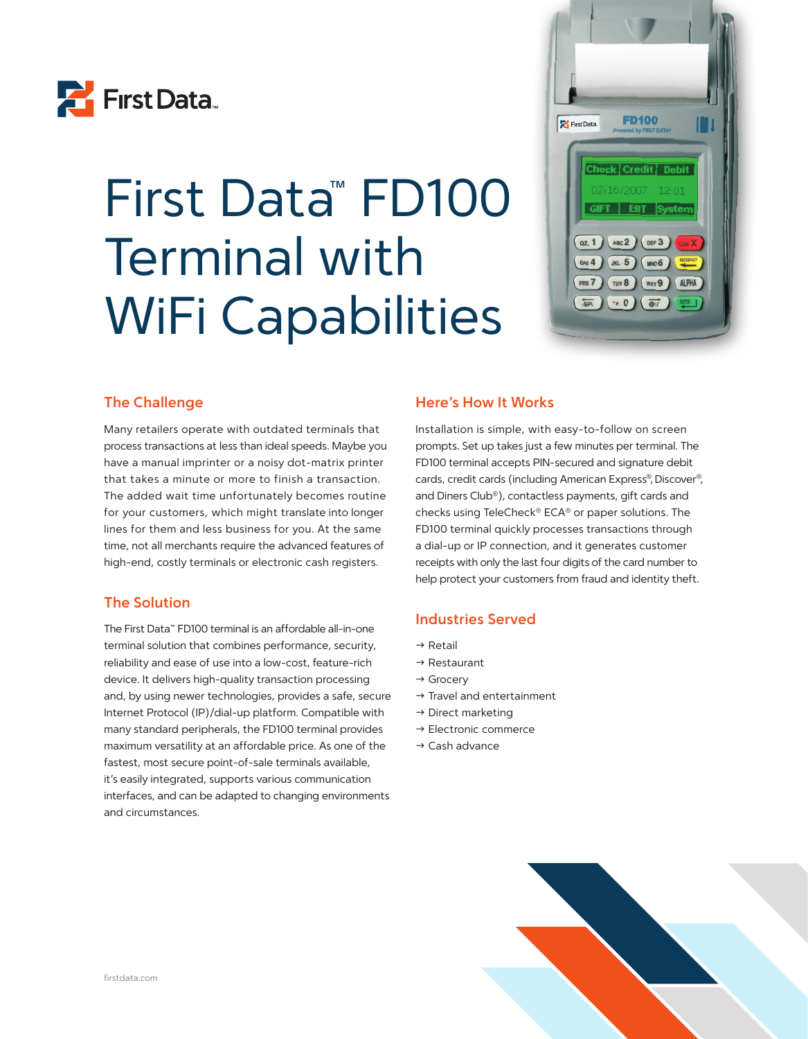

# First Data™ FD100 Terminal with WiFi Capabilities



# **The Challenge**

Many retailers operate with outdated terminals that process transactions at less than ideal speeds. Maybe you have a manual imprinter or a noisy dot-matrix printer that takes a minute or more to finish a transaction. The added wait time unfortunately becomes routine for your customers, which might translate into longer lines for them and less business for you. At the same time, not all merchants require the advanced features of high-end, costly terminals or electronic cash registers.

# **The Solution**

The First Data™ FD100 terminal is an affordable all-in-one terminal solution that combines performance, security, reliability and ease of use into a low-cost, feature-rich device. It delivers high-quality transaction processing and, by using newer technologies, provides a safe, secure Internet Protocol (IP)/dial-up platform. Compatible with many standard peripherals, the FD100 terminal provides maximum versatility at an affordable price. As one of the fastest, most secure point-of-sale terminals available, it's easily integrated, supports various communication interfaces, and can be adapted to changing environments and circumstances.

# **Here's How It Works**

Installation is simple, with easy-to-follow on screen prompts. Set up takes just a few minutes per terminal. The FD100 terminal accepts PIN-secured and signature debit cards, credit cards (including American Express®, Discover®, and Diners Club®), contactless payments, gift cards and checks using TeleCheck® ECA® or paper solutions. The FD100 terminal quickly processes transactions through a dial-up or IP connection, and it generates customer receipts with only the last four digits of the card number to help protect your customers from fraud and identity theft.

# **Industries Served**

- $\rightarrow$  Retail
- $\rightarrow$  Restaurant
- $\rightarrow$  Grocery
- $\rightarrow$  Travel and entertainment
- $\rightarrow$  Direct marketing
- $\rightarrow$  Electronic commerce
- $\rightarrow$  Cash advance